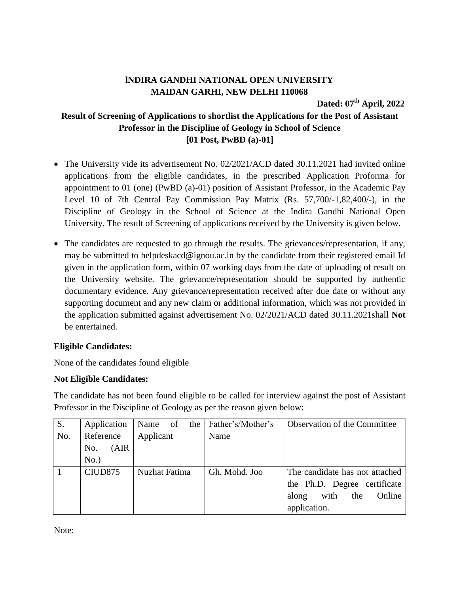## **lNDIRA GANDHI NATIONAL OPEN UNIVERSITY MAIDAN GARHI, NEW DELHI 110068**

**Dated: 07 th April, 2022**

## **Result of Screening of Applications to shortlist the Applications for the Post of Assistant Professor in the Discipline of Geology in School of Science [01 Post, PwBD (a)-01]**

- The University vide its advertisement No. 02/2021/ACD dated 30.11.2021 had invited online applications from the eligible candidates, in the prescribed Application Proforma for appointment to 01 (one) (PwBD (a)-01) position of Assistant Professor, in the Academic Pay Level 10 of 7th Central Pay Commission Pay Matrix (Rs. 57,700/-1,82,400/-), in the Discipline of Geology in the School of Science at the Indira Gandhi National Open University. The result of Screening of applications received by the University is given below.
- The candidates are requested to go through the results. The grievances/representation, if any, may be submitted to helpdeskacd@ignou.ac.in by the candidate from their registered email Id given in the application form, within 07 working days from the date of uploading of result on the University website. The grievance/representation should be supported by authentic documentary evidence. Any grievance/representation received after due date or without any supporting document and any new claim or additional information, which was not provided in the application submitted against advertisement No. 02/2021/ACD dated 30.11.2021shall **Not** be entertained.

## **Eligible Candidates:**

None of the candidates found eligible

## **Not Eligible Candidates:**

The candidate has not been found eligible to be called for interview against the post of Assistant Professor in the Discipline of Geology as per the reason given below:

| S.  | Application         | Name<br>- of<br>the | Father's/Mother's | <b>Observation of the Committee</b> |
|-----|---------------------|---------------------|-------------------|-------------------------------------|
| No. | Reference           | Applicant           | Name              |                                     |
|     | (AIR)<br>No.        |                     |                   |                                     |
|     | $No.$ )             |                     |                   |                                     |
|     | CIUD <sub>875</sub> | Nuzhat Fatima       | Gh. Mohd. Joo     | The candidate has not attached      |
|     |                     |                     |                   | the Ph.D. Degree certificate        |
|     |                     |                     |                   | Online<br>with<br>the<br>along      |
|     |                     |                     |                   | application.                        |

Note: